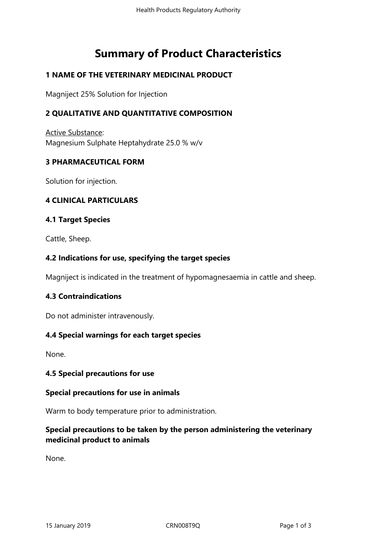# **Summary of Product Characteristics**

# **1 NAME OF THE VETERINARY MEDICINAL PRODUCT**

Magniject 25% Solution for Injection

# **2 QUALITATIVE AND QUANTITATIVE COMPOSITION**

Active Substance: Magnesium Sulphate Heptahydrate 25.0 % w/v

## **3 PHARMACEUTICAL FORM**

Solution for injection.

## **4 CLINICAL PARTICULARS**

## **4.1 Target Species**

Cattle, Sheep.

## **4.2 Indications for use, specifying the target species**

Magniject is indicated in the treatment of hypomagnesaemia in cattle and sheep.

## **4.3 Contraindications**

Do not administer intravenously.

## **4.4 Special warnings for each target species**

None.

## **4.5 Special precautions for use**

## **Special precautions for use in animals**

Warm to body temperature prior to administration.

# **Special precautions to be taken by the person administering the veterinary medicinal product to animals**

None.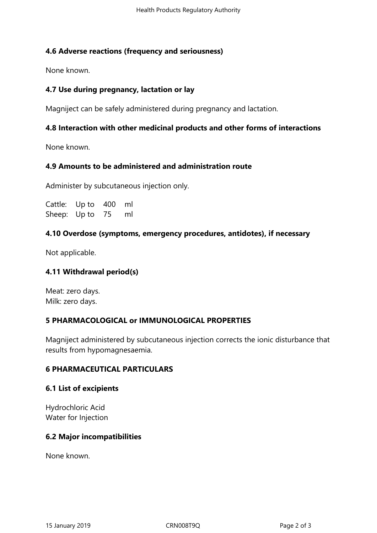## **4.6 Adverse reactions (frequency and seriousness)**

None known.

## **4.7 Use during pregnancy, lactation or lay**

Magniject can be safely administered during pregnancy and lactation.

## **4.8 Interaction with other medicinal products and other forms of interactions**

None known.

## **4.9 Amounts to be administered and administration route**

Administer by subcutaneous injection only.

Cattle: Up to 400 ml Sheep: Up to 75 ml

#### **4.10 Overdose (symptoms, emergency procedures, antidotes), if necessary**

Not applicable.

## **4.11 Withdrawal period(s)**

Meat: zero days. Milk: zero days.

## **5 PHARMACOLOGICAL or IMMUNOLOGICAL PROPERTIES**

Magniject administered by subcutaneous injection corrects the ionic disturbance that results from hypomagnesaemia.

## **6 PHARMACEUTICAL PARTICULARS**

#### **6.1 List of excipients**

Hydrochloric Acid Water for Injection

## **6.2 Major incompatibilities**

None known.